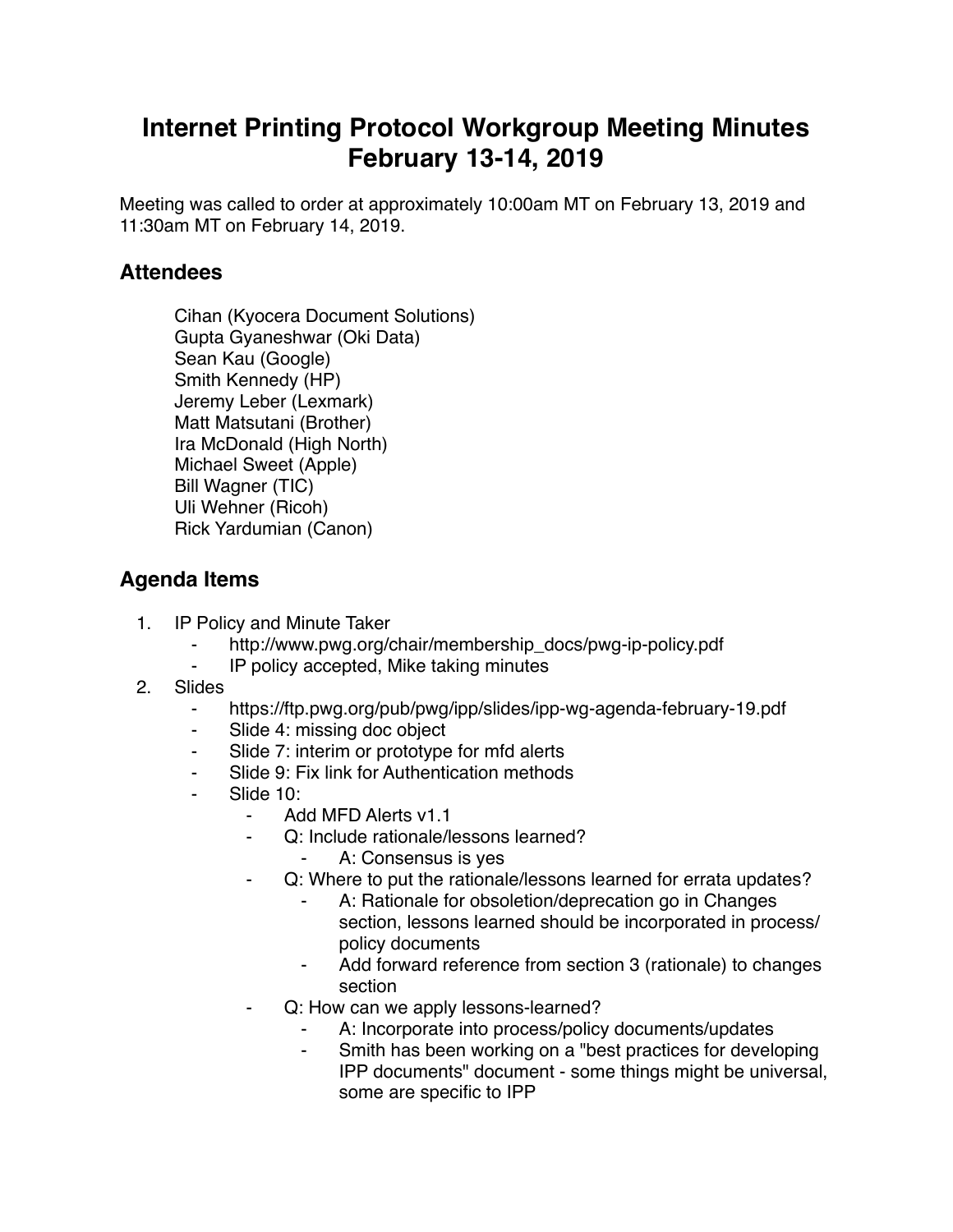## **Internet Printing Protocol Workgroup Meeting Minutes February 13-14, 2019**

Meeting was called to order at approximately 10:00am MT on February 13, 2019 and 11:30am MT on February 14, 2019.

## **Attendees**

Cihan (Kyocera Document Solutions) Gupta Gyaneshwar (Oki Data) Sean Kau (Google) Smith Kennedy (HP) Jeremy Leber (Lexmark) Matt Matsutani (Brother) Ira McDonald (High North) Michael Sweet (Apple) Bill Wagner (TIC) Uli Wehner (Ricoh) Rick Yardumian (Canon)

## **Agenda Items**

- 1. IP Policy and Minute Taker
	- ⁃ http://www.pwg.org/chair/membership\_docs/pwg-ip-policy.pdf
	- IP policy accepted, Mike taking minutes
- 2. Slides
	- ⁃ https://ftp.pwg.org/pub/pwg/ipp/slides/ipp-wg-agenda-february-19.pdf
	- ⁃ Slide 4: missing doc object
	- Slide 7: interim or prototype for mfd alerts
	- Slide 9: Fix link for Authentication methods
	- Slide 10:
		- Add MFD Alerts v1.1
		- Q: Include rationale/lessons learned?
			- ⁃ A: Consensus is yes
		- ⁃ Q: Where to put the rationale/lessons learned for errata updates?
			- A: Rationale for obsoletion/deprecation go in Changes section, lessons learned should be incorporated in process/ policy documents
			- ⁃ Add forward reference from section 3 (rationale) to changes section
		- ⁃ Q: How can we apply lessons-learned?
			- A: Incorporate into process/policy documents/updates
			- Smith has been working on a "best practices for developing IPP documents" document - some things might be universal, some are specific to IPP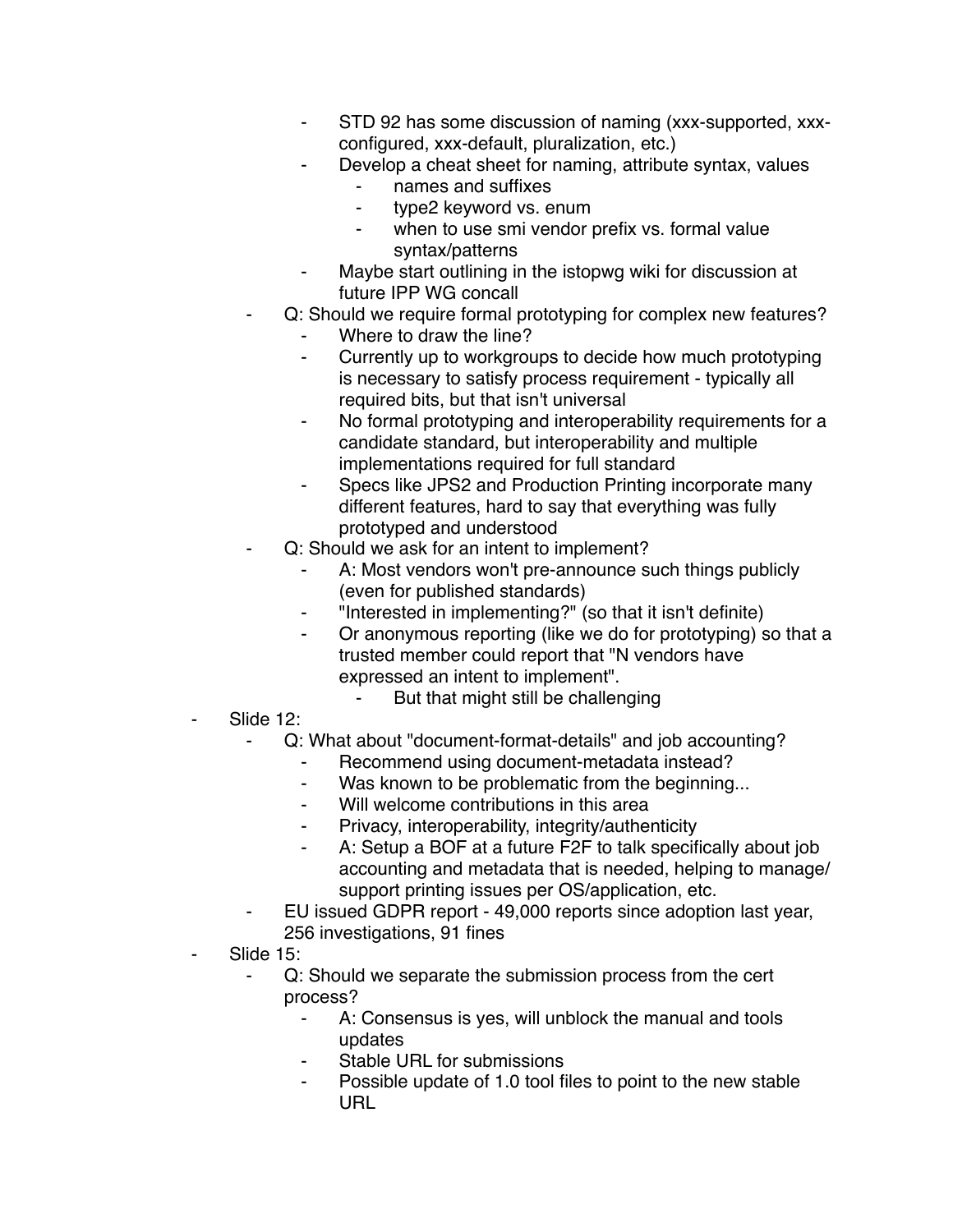- ⁃ STD 92 has some discussion of naming (xxx-supported, xxxconfigured, xxx-default, pluralization, etc.)
- Develop a cheat sheet for naming, attribute syntax, values
	- ⁃ names and suffixes
	- ⁃ type2 keyword vs. enum
	- when to use smi vendor prefix vs. formal value syntax/patterns
- ⁃ Maybe start outlining in the istopwg wiki for discussion at future IPP WG concall
- Q: Should we require formal prototyping for complex new features?
	- Where to draw the line?
	- ⁃ Currently up to workgroups to decide how much prototyping is necessary to satisfy process requirement - typically all required bits, but that isn't universal
	- ⁃ No formal prototyping and interoperability requirements for a candidate standard, but interoperability and multiple implementations required for full standard
	- ⁃ Specs like JPS2 and Production Printing incorporate many different features, hard to say that everything was fully prototyped and understood
- Q: Should we ask for an intent to implement?
	- A: Most vendors won't pre-announce such things publicly (even for published standards)
	- ⁃ "Interested in implementing?" (so that it isn't definite)
	- ⁃ Or anonymous reporting (like we do for prototyping) so that a trusted member could report that "N vendors have expressed an intent to implement".
		- But that might still be challenging
- Slide 12:
	- Q: What about "document-format-details" and job accounting?
		- ⁃ Recommend using document-metadata instead?
		- ⁃ Was known to be problematic from the beginning...
		- Will welcome contributions in this area
		- ⁃ Privacy, interoperability, integrity/authenticity
		- ⁃ A: Setup a BOF at a future F2F to talk specifically about job accounting and metadata that is needed, helping to manage/ support printing issues per OS/application, etc.
	- ⁃ EU issued GDPR report 49,000 reports since adoption last year, 256 investigations, 91 fines
- Slide 15:
	- Q: Should we separate the submission process from the cert process?
		- ⁃ A: Consensus is yes, will unblock the manual and tools updates
		- ⁃ Stable URL for submissions
		- Possible update of 1.0 tool files to point to the new stable URL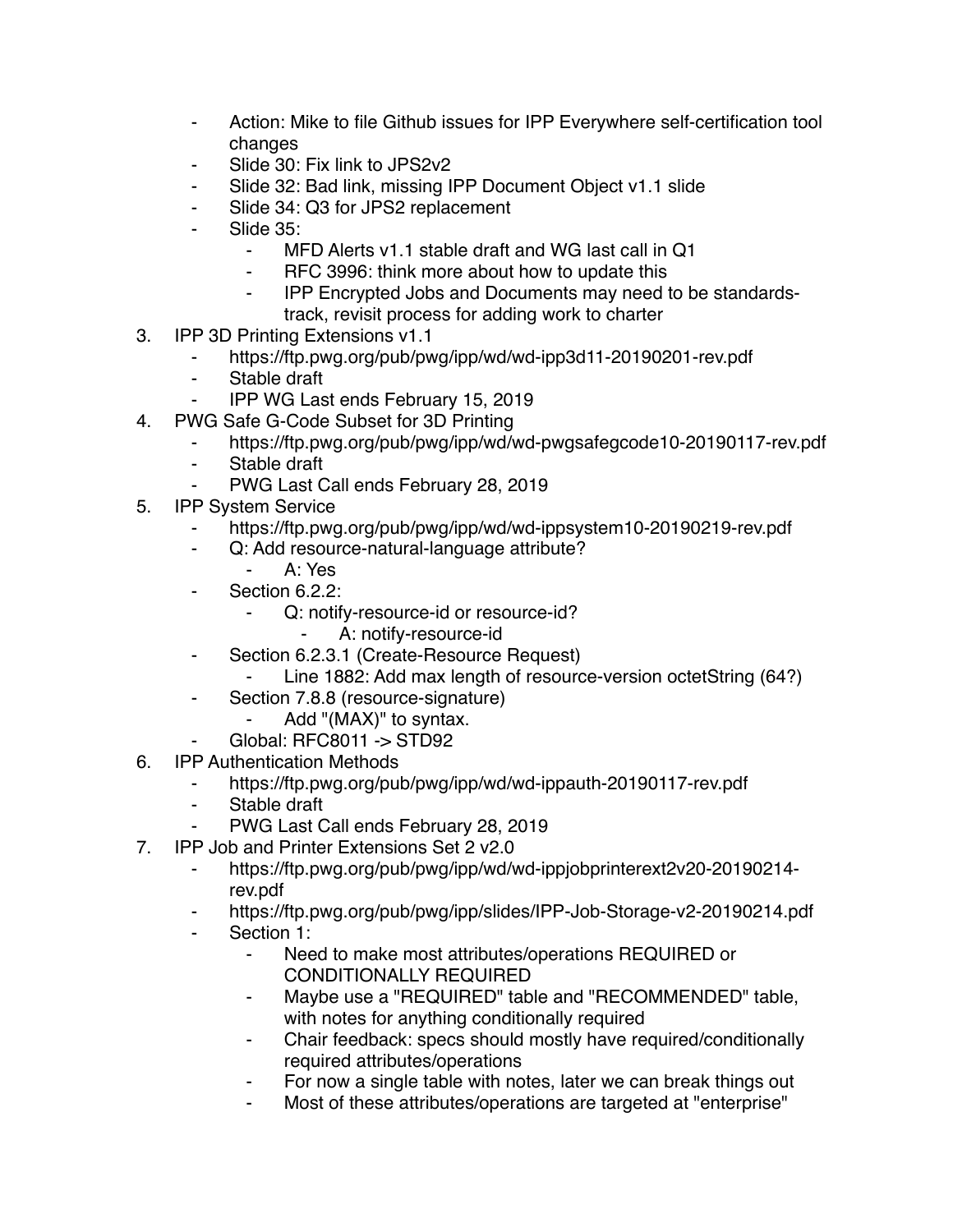- ⁃ Action: Mike to file Github issues for IPP Everywhere self-certification tool changes
- Slide 30: Fix link to JPS2v2
- ⁃ Slide 32: Bad link, missing IPP Document Object v1.1 slide
- ⁃ Slide 34: Q3 for JPS2 replacement
- Slide 35:
	- ⁃ MFD Alerts v1.1 stable draft and WG last call in Q1
	- RFC 3996: think more about how to update this
	- ⁃ IPP Encrypted Jobs and Documents may need to be standardstrack, revisit process for adding work to charter
- 3. IPP 3D Printing Extensions v1.1
	- ⁃ https://ftp.pwg.org/pub/pwg/ipp/wd/wd-ipp3d11-20190201-rev.pdf
	- ⁃ Stable draft
	- ⁃ IPP WG Last ends February 15, 2019
- 4. PWG Safe G-Code Subset for 3D Printing
	- https://ftp.pwg.org/pub/pwg/ipp/wd/wd-pwgsafegcode10-20190117-rev.pdf
	- ⁃ Stable draft
	- PWG Last Call ends February 28, 2019
- 5. IPP System Service
	- https://ftp.pwg.org/pub/pwg/ipp/wd/wd-ippsystem10-20190219-rev.pdf
	- ⁃ Q: Add resource-natural-language attribute?
		- ⁃ A: Yes
	- Section 6.2.2:
		- Q: notify-resource-id or resource-id?
			- ⁃ A: notify-resource-id
	- ⁃ Section 6.2.3.1 (Create-Resource Request)
		- ⁃ Line 1882: Add max length of resource-version octetString (64?)
	- ⁃ Section 7.8.8 (resource-signature)
		- ⁃ Add "(MAX)" to syntax.
		- ⁃ Global: RFC8011 -> STD92
- 6. IPP Authentication Methods
	- ⁃ https://ftp.pwg.org/pub/pwg/ipp/wd/wd-ippauth-20190117-rev.pdf
	- Stable draft
	- PWG Last Call ends February 28, 2019
- 7. IPP Job and Printer Extensions Set 2 v2.0
	- ⁃ https://ftp.pwg.org/pub/pwg/ipp/wd/wd-ippjobprinterext2v20-20190214 rev.pdf
	- ⁃ https://ftp.pwg.org/pub/pwg/ipp/slides/IPP-Job-Storage-v2-20190214.pdf
	- Section 1:
		- Need to make most attributes/operations REQUIRED or CONDITIONALLY REQUIRED
		- ⁃ Maybe use a "REQUIRED" table and "RECOMMENDED" table, with notes for anything conditionally required
		- ⁃ Chair feedback: specs should mostly have required/conditionally required attributes/operations
		- For now a single table with notes, later we can break things out
		- ⁃ Most of these attributes/operations are targeted at "enterprise"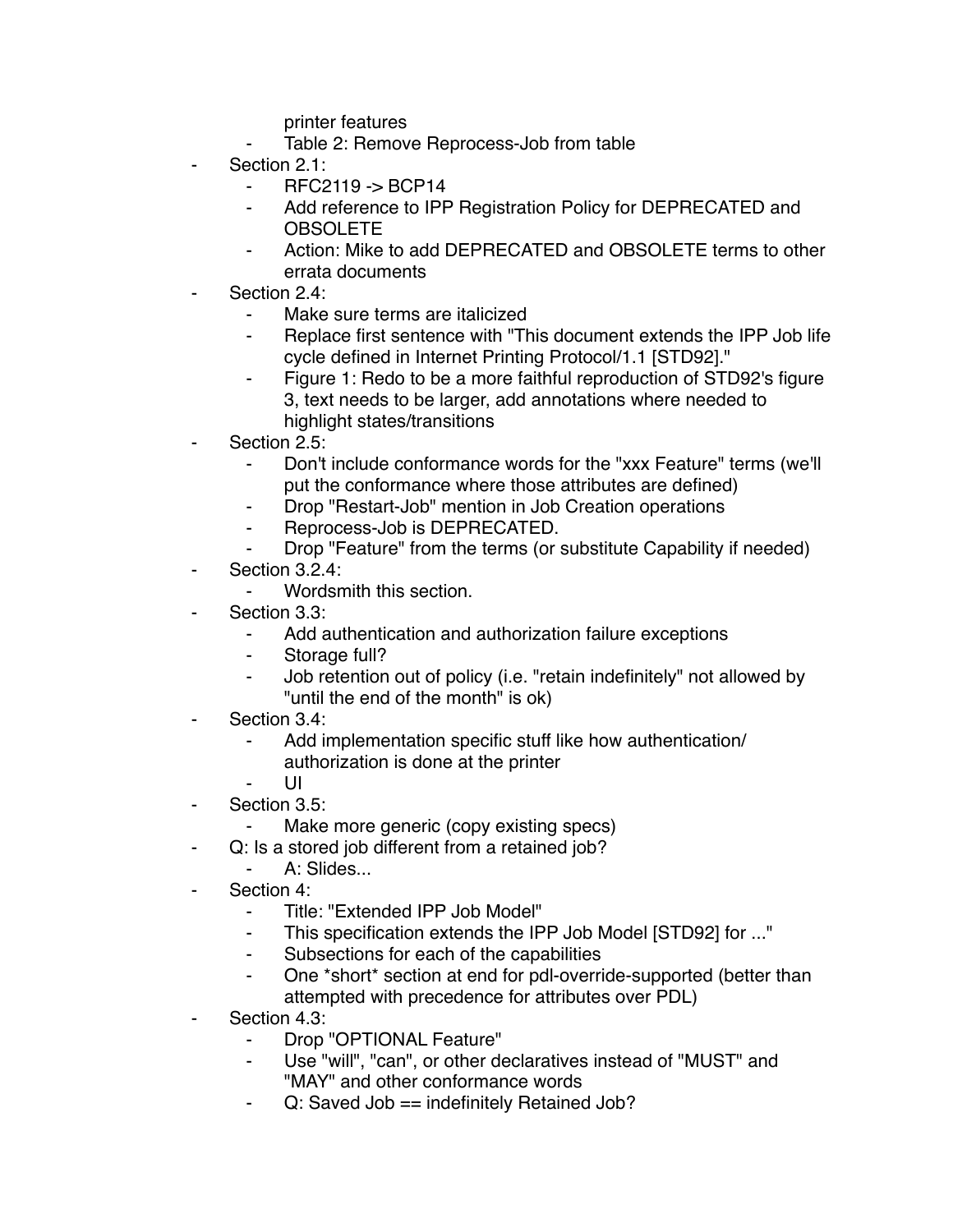printer features

- Table 2: Remove Reprocess-Job from table
- Section 2.1:
	- ⁃ RFC2119 -> BCP14
	- Add reference to IPP Registration Policy for DEPRECATED and OBSOLETE
	- ⁃ Action: Mike to add DEPRECATED and OBSOLETE terms to other errata documents
- Section 2.4:
	- Make sure terms are italicized
	- Replace first sentence with "This document extends the IPP Job life cycle defined in Internet Printing Protocol/1.1 [STD92]."
	- Figure 1: Redo to be a more faithful reproduction of STD92's figure 3, text needs to be larger, add annotations where needed to highlight states/transitions
- Section 2.5:
	- ⁃ Don't include conformance words for the "xxx Feature" terms (we'll put the conformance where those attributes are defined)
	- ⁃ Drop "Restart-Job" mention in Job Creation operations
	- ⁃ Reprocess-Job is DEPRECATED.
	- Drop "Feature" from the terms (or substitute Capability if needed)
- Section 3.2.4:
	- Wordsmith this section.
- Section 3.3:
	- ⁃ Add authentication and authorization failure exceptions
	- Storage full?
	- ⁃ Job retention out of policy (i.e. "retain indefinitely" not allowed by "until the end of the month" is ok)
- Section 3.4:
	- Add implementation specific stuff like how authentication/ authorization is done at the printer
		- ⁃ UI
- Section 3.5:
	- Make more generic (copy existing specs)
- ⁃ Q: Is a stored job different from a retained job?
	- A: Slides...
- Section 4:
	- ⁃ Title: "Extended IPP Job Model"
	- This specification extends the IPP Job Model [STD92] for ..."
	- ⁃ Subsections for each of the capabilities
	- One \*short\* section at end for pdl-override-supported (better than attempted with precedence for attributes over PDL)
- Section 4.3:
	- ⁃ Drop "OPTIONAL Feature"
	- Use "will", "can", or other declaratives instead of "MUST" and "MAY" and other conformance words
	- Q: Saved Job == indefinitely Retained Job?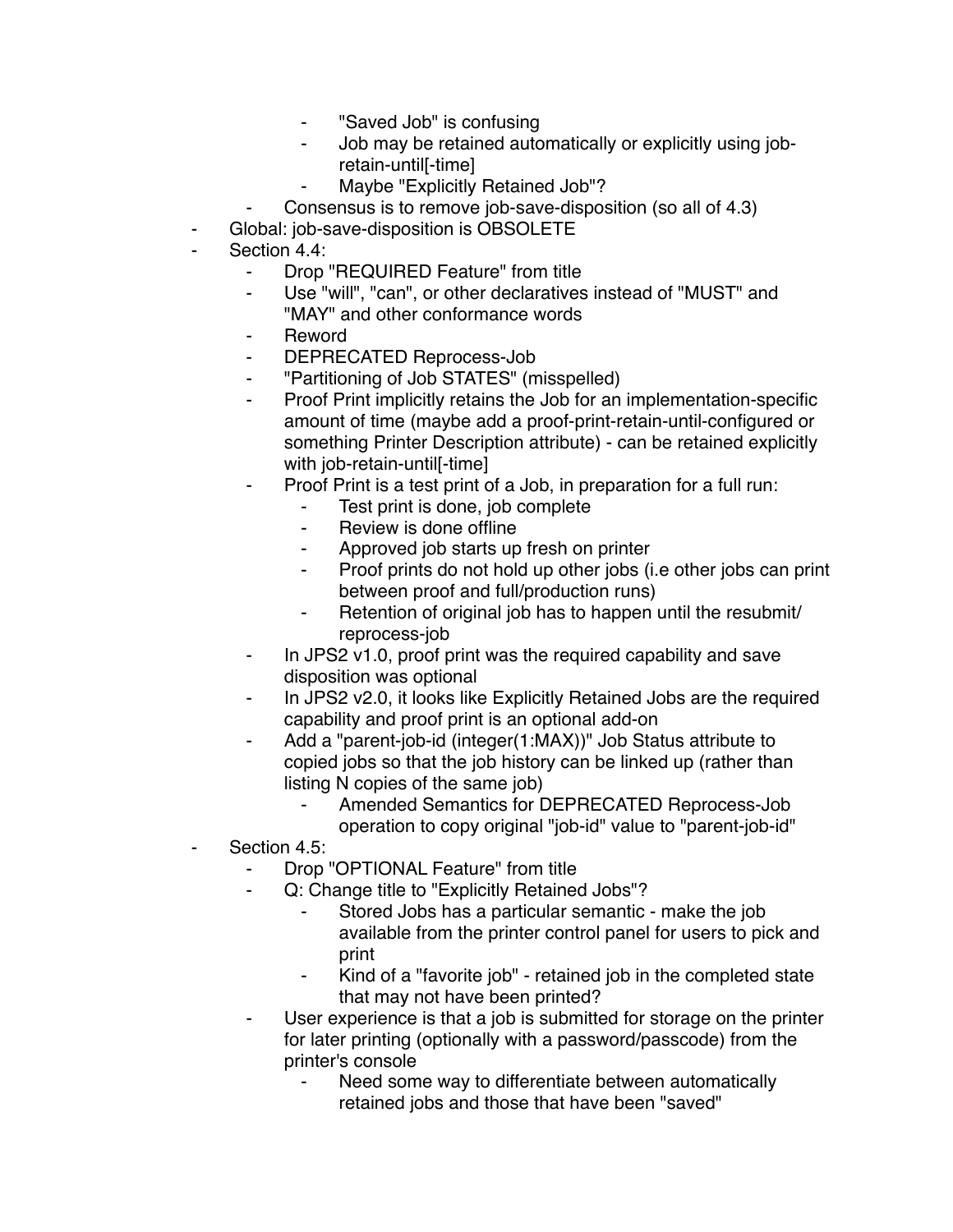- "Saved Job" is confusing
- ⁃ Job may be retained automatically or explicitly using jobretain-until[-time]
- Maybe "Explicitly Retained Job"?
- Consensus is to remove job-save-disposition (so all of 4.3)
- Global: job-save-disposition is OBSOLETE
- Section 4.4:
	- ⁃ Drop "REQUIRED Feature" from title
	- ⁃ Use "will", "can", or other declaratives instead of "MUST" and "MAY" and other conformance words
	- **Reword**
	- ⁃ DEPRECATED Reprocess-Job
	- ⁃ "Partitioning of Job STATES" (misspelled)
	- ⁃ Proof Print implicitly retains the Job for an implementation-specific amount of time (maybe add a proof-print-retain-until-configured or something Printer Description attribute) - can be retained explicitly with job-retain-untill-time]
	- Proof Print is a test print of a Job, in preparation for a full run:
		- Test print is done, job complete
		- ⁃ Review is done offline
		- ⁃ Approved job starts up fresh on printer
		- Proof prints do not hold up other jobs (i.e other jobs can print between proof and full/production runs)
		- Retention of original job has to happen until the resubmit/ reprocess-job
	- ⁃ In JPS2 v1.0, proof print was the required capability and save disposition was optional
	- In JPS2 v2.0, it looks like Explicitly Retained Jobs are the required capability and proof print is an optional add-on
	- Add a "parent-job-id (integer(1:MAX))" Job Status attribute to copied jobs so that the job history can be linked up (rather than listing N copies of the same job)
		- Amended Semantics for DEPRECATED Reprocess-Job operation to copy original "job-id" value to "parent-job-id"
- Section 4.5:
	- Drop "OPTIONAL Feature" from title
	- Q: Change title to "Explicitly Retained Jobs"?
		- Stored Jobs has a particular semantic make the job available from the printer control panel for users to pick and print
		- Kind of a "favorite job" retained job in the completed state that may not have been printed?
	- User experience is that a job is submitted for storage on the printer for later printing (optionally with a password/passcode) from the printer's console
		- Need some way to differentiate between automatically retained jobs and those that have been "saved"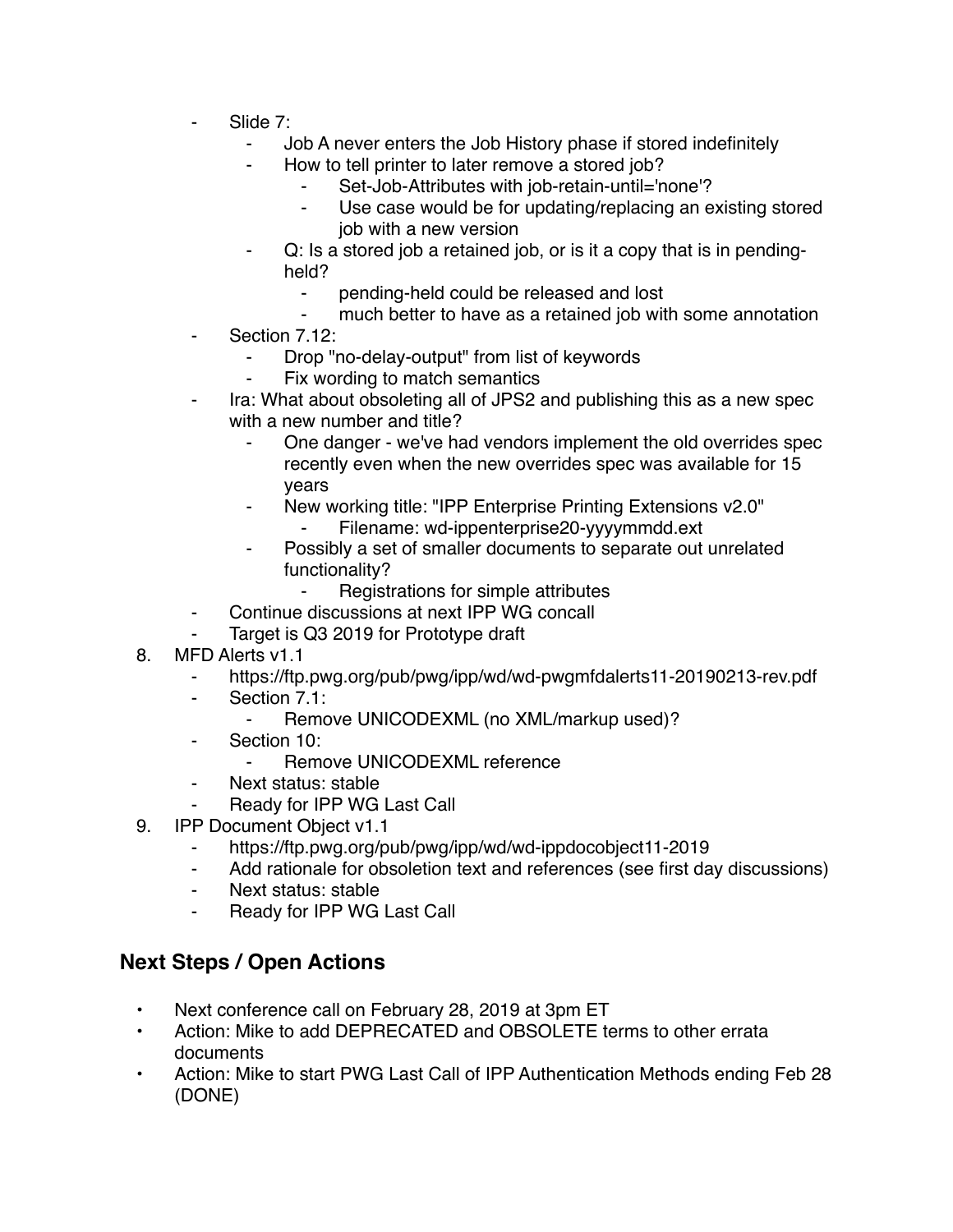- Slide 7:
	- ⁃ Job A never enters the Job History phase if stored indefinitely
	- How to tell printer to later remove a stored job?
		- Set-Job-Attributes with job-retain-until='none'?
		- ⁃ Use case would be for updating/replacing an existing stored job with a new version
	- Q: Is a stored job a retained job, or is it a copy that is in pendingheld?
		- ⁃ pending-held could be released and lost
		- much better to have as a retained job with some annotation
- Section 7.12:
	- Drop "no-delay-output" from list of keywords
	- Fix wording to match semantics
- Ira: What about obsoleting all of JPS2 and publishing this as a new spec with a new number and title?
	- One danger we've had vendors implement the old overrides spec recently even when the new overrides spec was available for 15 years
	- New working title: "IPP Enterprise Printing Extensions v2.0"
		- Filename: wd-ippenterprise20-yyyymmdd.ext
	- Possibly a set of smaller documents to separate out unrelated functionality?
		- ⁃ Registrations for simple attributes
	- Continue discussions at next IPP WG concall
- Target is Q3 2019 for Prototype draft
- 8. MFD Alerts v1.1
	- ⁃ https://ftp.pwg.org/pub/pwg/ipp/wd/wd-pwgmfdalerts11-20190213-rev.pdf
	- ⁃ Section 7.1:
		- ⁃ Remove UNICODEXML (no XML/markup used)?
	- ⁃ Section 10:
		- Remove UNICODEXML reference
	- ⁃ Next status: stable
	- Ready for IPP WG Last Call
- 9. IPP Document Object v1.1
	- ⁃ https://ftp.pwg.org/pub/pwg/ipp/wd/wd-ippdocobject11-2019
	- ⁃ Add rationale for obsoletion text and references (see first day discussions)
	- ⁃ Next status: stable
	- Ready for IPP WG Last Call

## **Next Steps / Open Actions**

- Next conference call on February 28, 2019 at 3pm ET
- Action: Mike to add DEPRECATED and OBSOLETE terms to other errata documents
- Action: Mike to start PWG Last Call of IPP Authentication Methods ending Feb 28 (DONE)